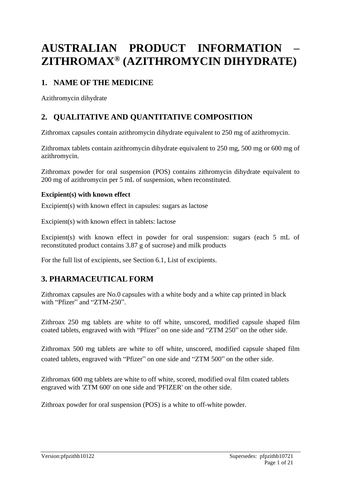# **AUSTRALIAN PRODUCT INFORMATION – ZITHROMAX® (AZITHROMYCIN DIHYDRATE)**

# **1. NAME OF THE MEDICINE**

Azithromycin dihydrate

# **2. QUALITATIVE AND QUANTITATIVE COMPOSITION**

Zithromax capsules contain azithromycin dihydrate equivalent to 250 mg of azithromycin.

Zithromax tablets contain azithromycin dihydrate equivalent to 250 mg, 500 mg or 600 mg of azithromycin.

Zithromax powder for oral suspension (POS) contains zithromycin dihydrate equivalent to 200 mg of azithromycin per 5 mL of suspension, when reconstituted.

#### **Excipient(s) with known effect**

Excipient(s) with known effect in capsules: sugars as lactose

Excipient(s) with known effect in tablets: lactose

Excipient(s) with known effect in powder for oral suspension: sugars (each 5 mL of reconstituted product contains 3.87 g of sucrose) and milk products

For the full list of excipients, see Section 6.1, List of excipients.

# **3. PHARMACEUTICAL FORM**

Zithromax capsules are No.0 capsules with a white body and a white cap printed in black with "Pfizer" and "ZTM-250".

Zithroax 250 mg tablets are white to off white, unscored, modified capsule shaped film coated tablets, engraved with with "Pfizer" on one side and "ZTM 250" on the other side.

Zithromax 500 mg tablets are white to off white, unscored, modified capsule shaped film coated tablets, engraved with "Pfizer" on one side and "ZTM 500" on the other side.

Zithromax 600 mg tablets are white to off white, scored, modified oval film coated tablets engraved with 'ZTM 600' on one side and 'PFIZER' on the other side.

Zithroax powder for oral suspension (POS) is a white to off-white powder.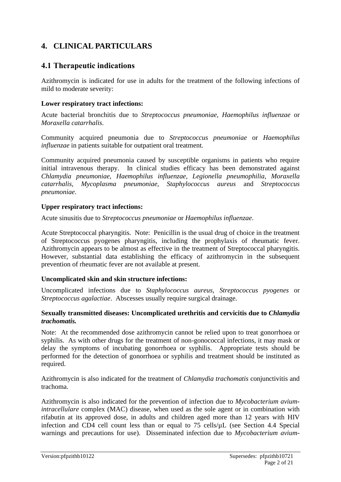# **4. CLINICAL PARTICULARS**

### **4.1 Therapeutic indications**

Azithromycin is indicated for use in adults for the treatment of the following infections of mild to moderate severity:

#### **Lower respiratory tract infections:**

Acute bacterial bronchitis due to *Streptococcus pneumoniae, Haemophilus influenzae* or *Moraxella catarrhalis*.

Community acquired pneumonia due to *Streptococcus pneumoniae* or *Haemophilus influenzae* in patients suitable for outpatient oral treatment.

Community acquired pneumonia caused by susceptible organisms in patients who require initial intravenous therapy. In clinical studies efficacy has been demonstrated against *Chlamydia pneumoniae, Haemophilus influenzae, Legionella pneumophilia, Moraxella catarrhalis, Mycoplasma pneumoniae, Staphylococcus aureus* and *Streptococcus pneumoniae*.

#### **Upper respiratory tract infections:**

Acute sinusitis due to *Streptococcus pneumoniae* or *Haemophilus influenzae*.

Acute Streptococcal pharyngitis. Note: Penicillin is the usual drug of choice in the treatment of Streptococcus pyogenes pharyngitis, including the prophylaxis of rheumatic fever. Azithromycin appears to be almost as effective in the treatment of Streptococcal pharyngitis. However, substantial data establishing the efficacy of azithromycin in the subsequent prevention of rheumatic fever are not available at present.

#### **Uncomplicated skin and skin structure infections:**

Uncomplicated infections due to *Staphylococcus aureus, Streptococcus pyogenes* or *Streptococcus agalactiae*. Abscesses usually require surgical drainage.

#### **Sexually transmitted diseases: Uncomplicated urethritis and cervicitis due to** *Chlamydia trachomatis.*

Note: At the recommended dose azithromycin cannot be relied upon to treat gonorrhoea or syphilis. As with other drugs for the treatment of non-gonococcal infections, it may mask or delay the symptoms of incubating gonorrhoea or syphilis. Appropriate tests should be performed for the detection of gonorrhoea or syphilis and treatment should be instituted as required.

Azithromycin is also indicated for the treatment of *Chlamydia trachomatis* conjunctivitis and trachoma.

Azithromycin is also indicated for the prevention of infection due to *Mycobacterium aviumintracellulare* complex (MAC) disease, when used as the sole agent or in combination with rifabutin at its approved dose, in adults and children aged more than 12 years with HIV infection and CD4 cell count less than or equal to 75 cells/µL (see Section 4.4 Special warnings and precautions for use). Disseminated infection due to *Mycobacterium avium-*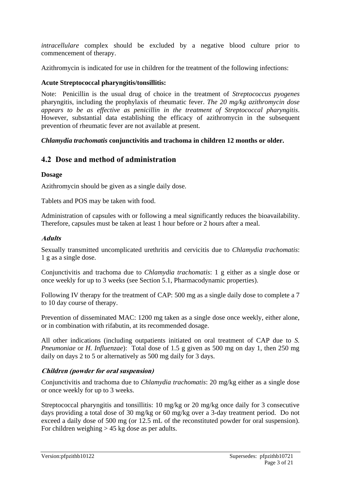*intracellulare* complex should be excluded by a negative blood culture prior to commencement of therapy.

Azithromycin is indicated for use in children for the treatment of the following infections:

#### **Acute Streptococcal pharyngitis/tonsillitis:**

Note: Penicillin is the usual drug of choice in the treatment of *Streptococcus pyogenes* pharyngitis, including the prophylaxis of rheumatic fever. *The 20 mg/kg azithromycin dose appears to be as effective as penicillin in the treatment of Streptococcal pharyngitis*. However, substantial data establishing the efficacy of azithromycin in the subsequent prevention of rheumatic fever are not available at present.

#### *Chlamydia trachomatis* **conjunctivitis and trachoma in children 12 months or older.**

### **4.2 Dose and method of administration**

#### **Dosage**

Azithromycin should be given as a single daily dose.

Tablets and POS may be taken with food.

Administration of capsules with or following a meal significantly reduces the bioavailability. Therefore, capsules must be taken at least 1 hour before or 2 hours after a meal.

#### **Adults**

Sexually transmitted uncomplicated urethritis and cervicitis due to *Chlamydia trachomatis*: 1 g as a single dose.

Conjunctivitis and trachoma due to *Chlamydia trachomatis*: 1 g either as a single dose or once weekly for up to 3 weeks (see Section 5.1, Pharmacodynamic properties).

Following IV therapy for the treatment of CAP: 500 mg as a single daily dose to complete a 7 to 10 day course of therapy.

Prevention of disseminated MAC: 1200 mg taken as a single dose once weekly, either alone, or in combination with rifabutin, at its recommended dosage.

All other indications (including outpatients initiated on oral treatment of CAP due to *S. Pneumoniae* or *H. Influenzae*): Total dose of 1.5 g given as 500 mg on day 1, then 250 mg daily on days 2 to 5 or alternatively as 500 mg daily for 3 days.

#### **Children (powder for oral suspension)**

Conjunctivitis and trachoma due to *Chlamydia trachomatis*: 20 mg/kg either as a single dose or once weekly for up to 3 weeks.

Streptococcal pharyngitis and tonsillitis: 10 mg/kg or 20 mg/kg once daily for 3 consecutive days providing a total dose of 30 mg/kg or 60 mg/kg over a 3-day treatment period. Do not exceed a daily dose of 500 mg (or 12.5 mL of the reconstituted powder for oral suspension). For children weighing  $> 45$  kg dose as per adults.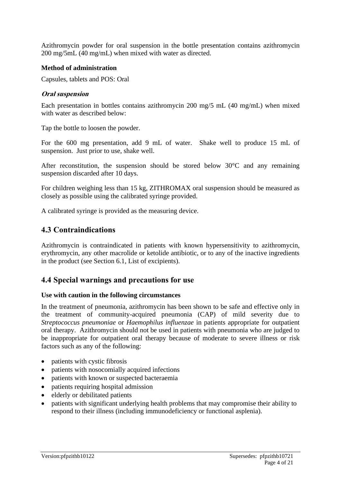Azithromycin powder for oral suspension in the bottle presentation contains azithromycin 200 mg/5mL (40 mg/mL) when mixed with water as directed.

#### **Method of administration**

Capsules, tablets and POS: Oral

#### **Oral suspension**

Each presentation in bottles contains azithromycin 200 mg/5 mL (40 mg/mL) when mixed with water as described below:

Tap the bottle to loosen the powder.

For the 600 mg presentation, add 9 mL of water. Shake well to produce 15 mL of suspension. Just prior to use, shake well.

After reconstitution, the suspension should be stored below 30°C and any remaining suspension discarded after 10 days.

For children weighing less than 15 kg, ZITHROMAX oral suspension should be measured as closely as possible using the calibrated syringe provided.

A calibrated syringe is provided as the measuring device.

### **4.3 Contraindications**

Azithromycin is contraindicated in patients with known hypersensitivity to azithromycin, erythromycin, any other macrolide or ketolide antibiotic, or to any of the inactive ingredients in the product (see Section 6.1, List of excipients).

### **4.4 Special warnings and precautions for use**

#### **Use with caution in the following circumstances**

In the treatment of pneumonia, azithromycin has been shown to be safe and effective only in the treatment of community-acquired pneumonia (CAP) of mild severity due to *Streptococcus pneumoniae* or *Haemophilus influenzae* in patients appropriate for outpatient oral therapy. Azithromycin should not be used in patients with pneumonia who are judged to be inappropriate for outpatient oral therapy because of moderate to severe illness or risk factors such as any of the following:

- patients with cystic fibrosis
- patients with nosocomially acquired infections
- patients with known or suspected bacteraemia
- patients requiring hospital admission
- elderly or debilitated patients
- patients with significant underlying health problems that may compromise their ability to respond to their illness (including immunodeficiency or functional asplenia).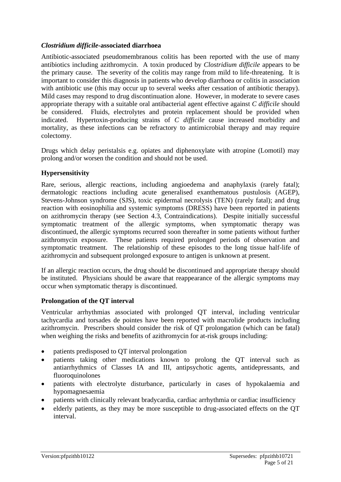#### *Clostridium difficile-***associated diarrhoea**

Antibiotic-associated pseudomembranous colitis has been reported with the use of many antibiotics including azithromycin. A toxin produced by *Clostridium difficile* appears to be the primary cause. The severity of the colitis may range from mild to life-threatening. It is important to consider this diagnosis in patients who develop diarrhoea or colitis in association with antibiotic use (this may occur up to several weeks after cessation of antibiotic therapy). Mild cases may respond to drug discontinuation alone. However, in moderate to severe cases appropriate therapy with a suitable oral antibacterial agent effective against *C difficile* should be considered. Fluids, electrolytes and protein replacement should be provided when indicated. Hypertoxin-producing strains of *C difficile* cause increased morbidity and mortality, as these infections can be refractory to antimicrobial therapy and may require colectomy.

Drugs which delay peristalsis e.g. opiates and diphenoxylate with atropine (Lomotil) may prolong and/or worsen the condition and should not be used.

#### **Hypersensitivity**

Rare, serious, allergic reactions, including angioedema and anaphylaxis (rarely fatal); dermatologic reactions including acute generalised exanthematous pustulosis (AGEP), Stevens-Johnson syndrome (SJS), toxic epidermal necrolysis (TEN) (rarely fatal); and drug reaction with eosinophilia and systemic symptoms (DRESS) have been reported in patients on azithromycin therapy (see Section 4.3, Contraindications). Despite initially successful symptomatic treatment of the allergic symptoms, when symptomatic therapy was discontinued, the allergic symptoms recurred soon thereafter in some patients without further azithromycin exposure. These patients required prolonged periods of observation and symptomatic treatment. The relationship of these episodes to the long tissue half-life of azithromycin and subsequent prolonged exposure to antigen is unknown at present.

If an allergic reaction occurs, the drug should be discontinued and appropriate therapy should be instituted. Physicians should be aware that reappearance of the allergic symptoms may occur when symptomatic therapy is discontinued.

#### **Prolongation of the QT interval**

Ventricular arrhythmias associated with prolonged QT interval, including ventricular tachycardia and torsades de pointes have been reported with macrolide products including azithromycin. Prescribers should consider the risk of QT prolongation (which can be fatal) when weighing the risks and benefits of azithromycin for at-risk groups including:

- patients predisposed to QT interval prolongation
- patients taking other medications known to prolong the QT interval such as antiarrhythmics of Classes IA and III, antipsychotic agents, antidepressants, and fluoroquinolones
- patients with electrolyte disturbance, particularly in cases of hypokalaemia and hypomagnesaemia
- patients with clinically relevant bradycardia, cardiac arrhythmia or cardiac insufficiency
- elderly patients, as they may be more susceptible to drug-associated effects on the QT interval.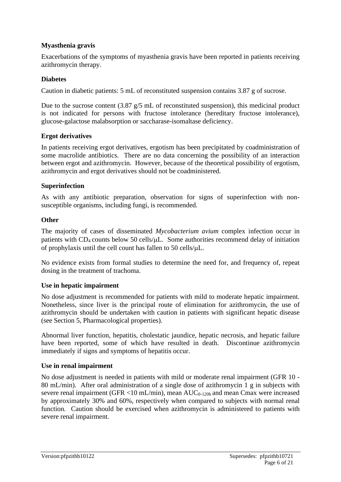#### **Myasthenia gravis**

Exacerbations of the symptoms of myasthenia gravis have been reported in patients receiving azithromycin therapy.

#### **Diabetes**

Caution in diabetic patients: 5 mL of reconstituted suspension contains 3.87 g of sucrose.

Due to the sucrose content  $(3.87 \text{ g/s} \text{ mL of reconstituted suspension})$ , this medicinal product is not indicated for persons with fructose intolerance (hereditary fructose intolerance), glucose-galactose malabsorption or saccharase-isomaltase deficiency.

#### **Ergot derivatives**

In patients receiving ergot derivatives, ergotism has been precipitated by coadministration of some macrolide antibiotics. There are no data concerning the possibility of an interaction between ergot and azithromycin. However, because of the theoretical possibility of ergotism, azithromycin and ergot derivatives should not be coadministered.

#### **Superinfection**

As with any antibiotic preparation, observation for signs of superinfection with nonsusceptible organisms, including fungi, is recommended.

#### **Other**

The majority of cases of disseminated *Mycobacterium avium* complex infection occur in patients with  $CD_4$  counts below 50 cells/ $\mu$ L. Some authorities recommend delay of initiation of prophylaxis until the cell count has fallen to 50 cells/ $\mu$ L.

No evidence exists from formal studies to determine the need for, and frequency of, repeat dosing in the treatment of trachoma.

#### **Use in hepatic impairment**

No dose adjustment is recommended for patients with mild to moderate hepatic impairment. Nonetheless, since liver is the principal route of elimination for azithromycin, the use of azithromycin should be undertaken with caution in patients with significant hepatic disease (see Section 5, Pharmacological properties).

Abnormal liver function, hepatitis, cholestatic jaundice, hepatic necrosis, and hepatic failure have been reported, some of which have resulted in death. Discontinue azithromycin immediately if signs and symptoms of hepatitis occur.

#### **Use in renal impairment**

No dose adjustment is needed in patients with mild or moderate renal impairment (GFR 10 - 80 mL/min). After oral administration of a single dose of azithromycin 1 g in subjects with severe renal impairment (GFR  $\langle 10 \text{ mL/min} \rangle$ , mean AUC<sub>0-120h</sub> and mean Cmax were increased by approximately 30% and 60%, respectively when compared to subjects with normal renal function. Caution should be exercised when azithromycin is administered to patients with severe renal impairment.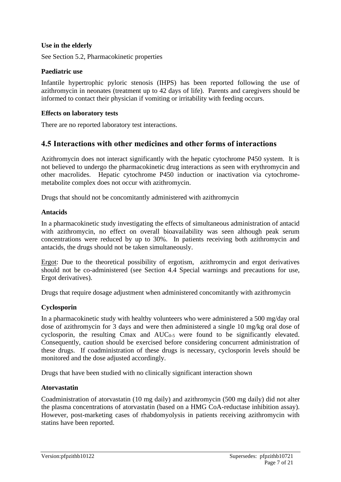#### **Use in the elderly**

See Section 5.2, Pharmacokinetic properties

#### **Paediatric use**

Infantile hypertrophic pyloric stenosis (IHPS) has been reported following the use of azithromycin in neonates (treatment up to 42 days of life). Parents and caregivers should be informed to contact their physician if vomiting or irritability with feeding occurs.

#### **Effects on laboratory tests**

There are no reported laboratory test interactions.

### **4.5 Interactions with other medicines and other forms of interactions**

Azithromycin does not interact significantly with the hepatic cytochrome P450 system. It is not believed to undergo the pharmacokinetic drug interactions as seen with erythromycin and other macrolides. Hepatic cytochrome P450 induction or inactivation via cytochromemetabolite complex does not occur with azithromycin.

Drugs that should not be concomitantly administered with azithromycin

#### **Antacids**

In a pharmacokinetic study investigating the effects of simultaneous administration of antacid with azithromycin, no effect on overall bioavailability was seen although peak serum concentrations were reduced by up to 30%. In patients receiving both azithromycin and antacids, the drugs should not be taken simultaneously.

Ergot: Due to the theoretical possibility of ergotism, azithromycin and ergot derivatives should not be co-administered (see Section 4.4 Special warnings and precautions for use, Ergot derivatives).

Drugs that require dosage adjustment when administered concomitantly with azithromycin

#### **Cyclosporin**

In a pharmacokinetic study with healthy volunteers who were administered a 500 mg/day oral dose of azithromycin for 3 days and were then administered a single 10 mg/kg oral dose of cyclosporin, the resulting Cmax and  $AUC_{0.5}$  were found to be significantly elevated. Consequently, caution should be exercised before considering concurrent administration of these drugs. If coadministration of these drugs is necessary, cyclosporin levels should be monitored and the dose adjusted accordingly.

Drugs that have been studied with no clinically significant interaction shown

#### **Atorvastatin**

Coadministration of atorvastatin (10 mg daily) and azithromycin (500 mg daily) did not alter the plasma concentrations of atorvastatin (based on a HMG CoA-reductase inhibition assay). However, post-marketing cases of rhabdomyolysis in patients receiving azithromycin with statins have been reported.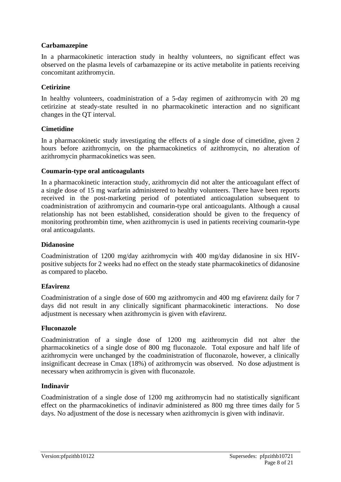#### **Carbamazepine**

In a pharmacokinetic interaction study in healthy volunteers, no significant effect was observed on the plasma levels of carbamazepine or its active metabolite in patients receiving concomitant azithromycin.

#### **Cetirizine**

In healthy volunteers, coadministration of a 5-day regimen of azithromycin with 20 mg cetirizine at steady-state resulted in no pharmacokinetic interaction and no significant changes in the QT interval.

#### **Cimetidine**

In a pharmacokinetic study investigating the effects of a single dose of cimetidine, given 2 hours before azithromycin, on the pharmacokinetics of azithromycin, no alteration of azithromycin pharmacokinetics was seen.

#### **Coumarin-type oral anticoagulants**

In a pharmacokinetic interaction study, azithromycin did not alter the anticoagulant effect of a single dose of 15 mg warfarin administered to healthy volunteers. There have been reports received in the post-marketing period of potentiated anticoagulation subsequent to coadministration of azithromycin and coumarin-type oral anticoagulants. Although a causal relationship has not been established, consideration should be given to the frequency of monitoring prothrombin time, when azithromycin is used in patients receiving coumarin-type oral anticoagulants.

#### **Didanosine**

Coadministration of 1200 mg/day azithromycin with 400 mg/day didanosine in six HIVpositive subjects for 2 weeks had no effect on the steady state pharmacokinetics of didanosine as compared to placebo.

#### **Efavirenz**

Coadministration of a single dose of 600 mg azithromycin and 400 mg efavirenz daily for 7 days did not result in any clinically significant pharmacokinetic interactions. No dose adjustment is necessary when azithromycin is given with efavirenz.

#### **Fluconazole**

Coadministration of a single dose of 1200 mg azithromycin did not alter the pharmacokinetics of a single dose of 800 mg fluconazole. Total exposure and half life of azithromycin were unchanged by the coadministration of fluconazole, however, a clinically insignificant decrease in Cmax (18%) of azithromycin was observed. No dose adjustment is necessary when azithromycin is given with fluconazole.

#### **Indinavir**

Coadministration of a single dose of 1200 mg azithromycin had no statistically significant effect on the pharmacokinetics of indinavir administered as 800 mg three times daily for 5 days. No adjustment of the dose is necessary when azithromycin is given with indinavir.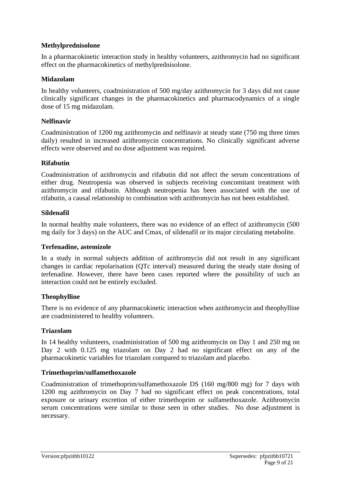#### **Methylprednisolone**

In a pharmacokinetic interaction study in healthy volunteers, azithromycin had no significant effect on the pharmacokinetics of methylprednisolone.

#### **Midazolam**

In healthy volunteers, coadministration of 500 mg/day azithromycin for 3 days did not cause clinically significant changes in the pharmacokinetics and pharmacodynamics of a single dose of 15 mg midazolam.

#### **Nelfinavir**

Coadministration of 1200 mg azithromycin and nelfinavir at steady state (750 mg three times daily) resulted in increased azithromycin concentrations. No clinically significant adverse effects were observed and no dose adjustment was required.

#### **Rifabutin**

Coadministration of azithromycin and rifabutin did not affect the serum concentrations of either drug. Neutropenia was observed in subjects receiving concomitant treatment with azithromycin and rifabutin. Although neutropenia has been associated with the use of rifabutin, a causal relationship to combination with azithromycin has not been established.

#### **Sildenafil**

In normal healthy male volunteers, there was no evidence of an effect of azithromycin (500 mg daily for 3 days) on the AUC and Cmax, of sildenafil or its major circulating metabolite.

#### **Terfenadine, astemizole**

In a study in normal subjects addition of azithromycin did not result in any significant changes in cardiac repolarisation (QTc interval) measured during the steady state dosing of terfenadine. However, there have been cases reported where the possibility of such an interaction could not be entirely excluded.

#### **Theophylline**

There is no evidence of any pharmacokinetic interaction when azithromycin and theophylline are coadministered to healthy volunteers.

#### **Triazolam**

In 14 healthy volunteers, coadministration of 500 mg azithromycin on Day 1 and 250 mg on Day 2 with 0.125 mg triazolam on Day 2 had no significant effect on any of the pharmacokinetic variables for triazolam compared to triazolam and placebo.

#### **Trimethoprim/sulfamethoxazole**

Coadministration of trimethoprim/sulfamethoxazole DS (160 mg/800 mg) for 7 days with 1200 mg azithromycin on Day 7 had no significant effect on peak concentrations, total exposure or urinary excretion of either trimethoprim or sulfamethoxazole. Azithromycin serum concentrations were similar to those seen in other studies. No dose adjustment is necessary.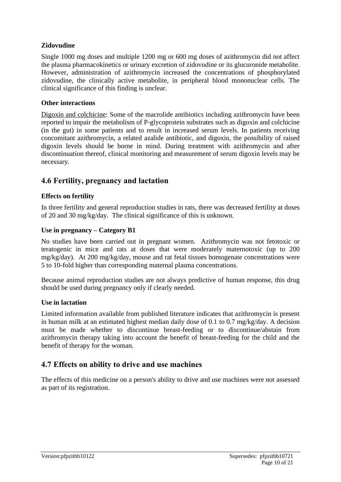#### **Zidovudine**

Single 1000 mg doses and multiple 1200 mg or 600 mg doses of azithromycin did not affect the plasma pharmacokinetics or urinary excretion of zidovudine or its glucuronide metabolite. However, administration of azithromycin increased the concentrations of phosphorylated zidovudine, the clinically active metabolite, in peripheral blood mononuclear cells. The clinical significance of this finding is unclear.

#### **Other interactions**

Digoxin and colchicine: Some of the macrolide antibiotics including azithromycin have been reported to impair the metabolism of P-glycoprotein substrates such as digoxin and colchicine (in the gut) in some patients and to result in increased serum levels. In patients receiving concomitant azithromycin, a related azalide antibiotic, and digoxin, the possibility of raised digoxin levels should be borne in mind. During treatment with azithromycin and after discontinuation thereof, clinical monitoring and measurement of serum digoxin levels may be necessary.

# **4.6 Fertility, pregnancy and lactation**

#### **Effects on fertility**

In three fertility and general reproduction studies in rats, there was decreased fertility at doses of 20 and 30 mg/kg/day. The clinical significance of this is unknown.

#### **Use in pregnancy – Category B1**

No studies have been carried out in pregnant women. Azithromycin was not fetotoxic or teratogenic in mice and rats at doses that were moderately maternotoxic (up to 200 mg/kg/day). At 200 mg/kg/day, mouse and rat fetal tissues homogenate concentrations were 5 to 10-fold higher than corresponding maternal plasma concentrations.

Because animal reproduction studies are not always predictive of human response, this drug should be used during pregnancy only if clearly needed.

#### **Use in lactation**

Limited information available from published literature indicates that azithromycin is present in human milk at an estimated highest median daily dose of 0.1 to 0.7 mg/kg/day. A decision must be made whether to discontinue breast-feeding or to discontinue/abstain from azithromycin therapy taking into account the benefit of breast-feeding for the child and the benefit of therapy for the woman.

### **4.7 Effects on ability to drive and use machines**

The effects of this medicine on a person's ability to drive and use machines were not assessed as part of its registration.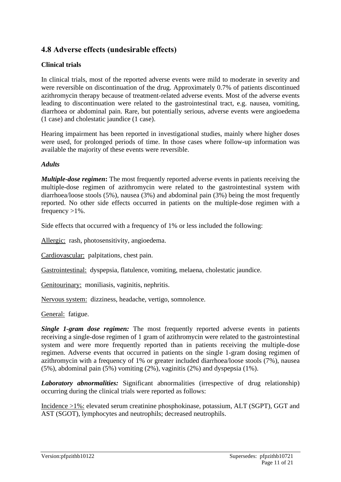# **4.8 Adverse effects (undesirable effects)**

### **Clinical trials**

In clinical trials, most of the reported adverse events were mild to moderate in severity and were reversible on discontinuation of the drug. Approximately 0.7% of patients discontinued azithromycin therapy because of treatment-related adverse events. Most of the adverse events leading to discontinuation were related to the gastrointestinal tract, e.g. nausea, vomiting, diarrhoea or abdominal pain. Rare, but potentially serious, adverse events were angioedema (1 case) and cholestatic jaundice (1 case).

Hearing impairment has been reported in investigational studies, mainly where higher doses were used, for prolonged periods of time. In those cases where follow-up information was available the majority of these events were reversible.

#### *Adults*

*Multiple-dose regimen***:** The most frequently reported adverse events in patients receiving the multiple-dose regimen of azithromycin were related to the gastrointestinal system with diarrhoea/loose stools (5%), nausea (3%) and abdominal pain (3%) being the most frequently reported. No other side effects occurred in patients on the multiple-dose regimen with a frequency  $>1\%$ .

Side effects that occurred with a frequency of 1% or less included the following:

Allergic: rash, photosensitivity, angioedema.

Cardiovascular: palpitations, chest pain.

Gastrointestinal: dyspepsia, flatulence, vomiting, melaena, cholestatic jaundice.

Genitourinary: moniliasis, vaginitis, nephritis.

Nervous system: dizziness, headache, vertigo, somnolence.

General:fatigue.

*Single 1-gram dose regimen:* The most frequently reported adverse events in patients receiving a single-dose regimen of 1 gram of azithromycin were related to the gastrointestinal system and were more frequently reported than in patients receiving the multiple-dose regimen. Adverse events that occurred in patients on the single 1-gram dosing regimen of azithromycin with a frequency of 1% or greater included diarrhoea/loose stools (7%), nausea (5%), abdominal pain (5%) vomiting (2%), vaginitis (2%) and dyspepsia (1%).

*Laboratory abnormalities:* Significant abnormalities (irrespective of drug relationship) occurring during the clinical trials were reported as follows:

Incidence >1%: elevated serum creatinine phosphokinase, potassium, ALT (SGPT), GGT and AST (SGOT), lymphocytes and neutrophils; decreased neutrophils.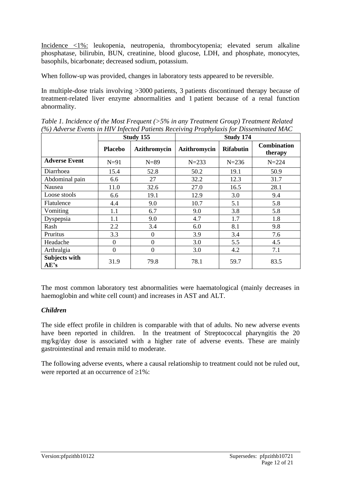Incidence <1%: leukopenia, neutropenia, thrombocytopenia; elevated serum alkaline phosphatase, bilirubin, BUN, creatinine, blood glucose, LDH, and phosphate, monocytes, basophils, bicarbonate; decreased sodium, potassium.

When follow-up was provided, changes in laboratory tests appeared to be reversible.

In multiple-dose trials involving >3000 patients, 3 patients discontinued therapy because of treatment-related liver enzyme abnormalities and 1 patient because of a renal function abnormality.

| 707 насеље Есения природни и англизисското и торнушкиз јог Бизетинаса тите |                |                  |              |                  |                               |
|----------------------------------------------------------------------------|----------------|------------------|--------------|------------------|-------------------------------|
|                                                                            | Study 155      |                  | Study 174    |                  |                               |
|                                                                            | <b>Placebo</b> | Azithromycin     | Azithromycin | <b>Rifabutin</b> | <b>Combination</b><br>therapy |
| <b>Adverse Event</b>                                                       | $N=91$         | $N=89$           | $N = 233$    | $N = 236$        | $N = 224$                     |
| Diarrhoea                                                                  | 15.4           | 52.8             | 50.2         | 19.1             | 50.9                          |
| Abdominal pain                                                             | 6.6            | 27               | 32.2         | 12.3             | 31.7                          |
| Nausea                                                                     | 11.0           | 32.6             | 27.0         | 16.5             | 28.1                          |
| Loose stools                                                               | 6.6            | 19.1             | 12.9         | 3.0              | 9.4                           |
| Flatulence                                                                 | 4.4            | 9.0              | 10.7         | 5.1              | 5.8                           |
| Vomiting                                                                   | 1.1            | 6.7              | 9.0          | 3.8              | 5.8                           |
| Dyspepsia                                                                  | $1.1\,$        | 9.0              | 4.7          | 1.7              | 1.8                           |
| Rash                                                                       | 2.2            | 3.4              | 6.0          | 8.1              | 9.8                           |
| Pruritus                                                                   | 3.3            | $\overline{0}$   | 3.9          | 3.4              | 7.6                           |
| Headache                                                                   | $\overline{0}$ | $\boldsymbol{0}$ | 3.0          | 5.5              | 4.5                           |
| Arthralgia                                                                 | $\overline{0}$ | $\boldsymbol{0}$ | 3.0          | 4.2              | 7.1                           |
| Subjects with<br>AE's                                                      | 31.9           | 79.8             | 78.1         | 59.7             | 83.5                          |

*Table 1. Incidence of the Most Frequent (>5% in any Treatment Group) Treatment Related (%) Adverse Events in HIV Infected Patients Receiving Prophylaxis for Disseminated MAC*

The most common laboratory test abnormalities were haematological (mainly decreases in haemoglobin and white cell count) and increases in AST and ALT.

#### *Children*

The side effect profile in children is comparable with that of adults. No new adverse events have been reported in children. In the treatment of Streptococcal pharyngitis the 20 mg/kg/day dose is associated with a higher rate of adverse events. These are mainly gastrointestinal and remain mild to moderate.

The following adverse events, where a causal relationship to treatment could not be ruled out, were reported at an occurrence of  $\geq 1\%$ :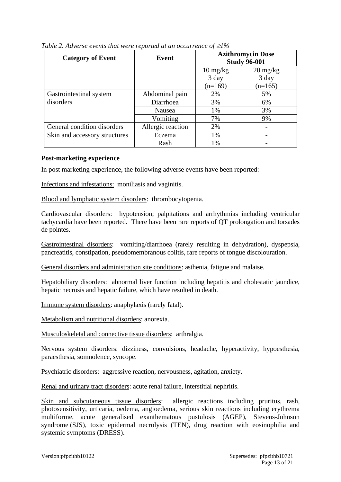| <b>Category of Event</b>      | Event             | <b>Azithromycin Dose</b><br><b>Study 96-001</b> |                                  |
|-------------------------------|-------------------|-------------------------------------------------|----------------------------------|
|                               |                   | $10 \frac{\text{mg}}{\text{kg}}$                | $20 \frac{\text{mg}}{\text{kg}}$ |
|                               |                   | 3 day<br>$(n=169)$                              | 3 day<br>$(n=165)$               |
| Gastrointestinal system       | Abdominal pain    | 2%                                              | 5%                               |
| disorders                     | Diarrhoea         | 3%                                              | 6%                               |
|                               | Nausea            | 1%                                              | 3%                               |
|                               | Vomiting          | 7%                                              | 9%                               |
| General condition disorders   | Allergic reaction | 2%                                              |                                  |
| Skin and accessory structures | Eczema            | 1%                                              |                                  |
|                               | Rash              | 1%                                              |                                  |

*Table 2. Adverse events that were reported at an occurrence of*  $\geq$ *1%* 

#### **Post-marketing experience**

In post marketing experience, the following adverse events have been reported:

Infections and infestations: moniliasis and vaginitis.

Blood and lymphatic system disorders: thrombocytopenia.

Cardiovascular disorders: hypotension; palpitations and arrhythmias including ventricular tachycardia have been reported. There have been rare reports of QT prolongation and torsades de pointes.

Gastrointestinal disorders: vomiting/diarrhoea (rarely resulting in dehydration), dyspepsia, pancreatitis, constipation, pseudomembranous colitis, rare reports of tongue discolouration.

General disorders and administration site conditions: asthenia, fatigue and malaise.

Hepatobiliary disorders: abnormal liver function including hepatitis and cholestatic jaundice, hepatic necrosis and hepatic failure, which have resulted in death.

Immune system disorders: anaphylaxis (rarely fatal).

Metabolism and nutritional disorders: anorexia.

Musculoskeletal and connective tissue disorders: arthralgia.

Nervous system disorders: dizziness, convulsions, headache, hyperactivity, hypoesthesia, paraesthesia, somnolence, syncope.

Psychiatric disorders: aggressive reaction, nervousness, agitation, anxiety.

Renal and urinary tract disorders: acute renal failure, interstitial nephritis.

Skin and subcutaneous tissue disorders: allergic reactions including pruritus, rash, photosensitivity, urticaria, oedema, angioedema, serious skin reactions including erythrema multiforme, acute generalised exanthematous pustulosis (AGEP), Stevens-Johnson syndrome (SJS), toxic epidermal necrolysis (TEN), drug reaction with eosinophilia and systemic symptoms (DRESS).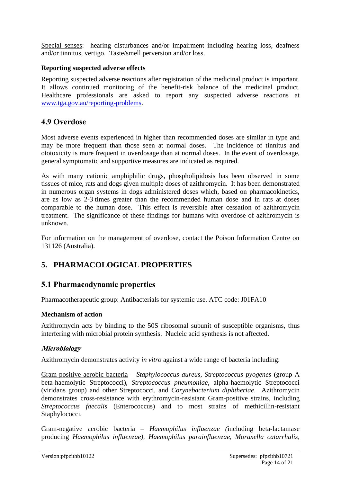Special senses: hearing disturbances and/or impairment including hearing loss, deafness and/or tinnitus, vertigo. Taste/smell perversion and/or loss.

#### **Reporting suspected adverse effects**

Reporting suspected adverse reactions after registration of the medicinal product is important. It allows continued monitoring of the benefit-risk balance of the medicinal product. Healthcare professionals are asked to report any suspected adverse reactions at [www.tga.gov.au/reporting-problems.](http://www.tga.gov.au/reporting-problems)

# **4.9 Overdose**

Most adverse events experienced in higher than recommended doses are similar in type and may be more frequent than those seen at normal doses. The incidence of tinnitus and ototoxicity is more frequent in overdosage than at normal doses. In the event of overdosage, general symptomatic and supportive measures are indicated as required.

As with many cationic amphiphilic drugs, phospholipidosis has been observed in some tissues of mice, rats and dogs given multiple doses of azithromycin. It has been demonstrated in numerous organ systems in dogs administered doses which, based on pharmacokinetics, are as low as 2-3 times greater than the recommended human dose and in rats at doses comparable to the human dose. This effect is reversible after cessation of azithromycin treatment. The significance of these findings for humans with overdose of azithromycin is unknown.

For information on the management of overdose, contact the Poison Information Centre on 131126 (Australia).

# **5. PHARMACOLOGICAL PROPERTIES**

# **5.1 Pharmacodynamic properties**

Pharmacotherapeutic group: Antibacterials for systemic use. ATC code: J01FA10

#### **Mechanism of action**

Azithromycin acts by binding to the 50S ribosomal subunit of susceptible organisms, thus interfering with microbial protein synthesis. Nucleic acid synthesis is not affected.

#### **Microbiology**

Azithromycin demonstrates activity *in vitro* against a wide range of bacteria including:

Gram-positive aerobic bacteria – *Staphylococcus aureus, Streptococcus pyogenes* (group A beta-haemolytic Streptococci), *Streptococcus pneumoniae*, alpha-haemolytic Streptococci (viridans group) and other Streptococci, and *Corynebacterium diphtheriae*. Azithromycin demonstrates cross-resistance with erythromycin-resistant Gram-positive strains, including *Streptococcus faecalis* (Enterococcus) and to most strains of methicillin-resistant Staphylococci.

Gram-negative aerobic bacteria – *Haemophilus influenzae (*including beta-lactamase producing *Haemophilus influenzae), Haemophilus parainfluenzae, Moraxella catarrhalis,*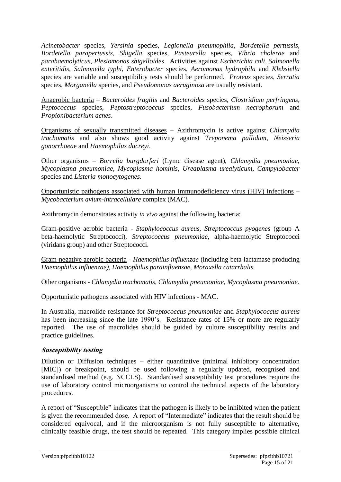*Acinetobacter* species, *Yersinia* species, *Legionella pneumophila*, *Bordetella pertussis, Bordetella parapertussis, Shigella* species, *Pasteurella* species, *Vibrio cholerae* and *parahaemolyticus, Plesiomonas shigelloide*s. Activities against *Escherichia coli, Salmonella enteritidis, Salmonella typhi*, *Enterobacter* species, *Aeromonas hydrophila* and *Klebsiella*  species are variable and susceptibility tests should be performed. *Proteus* specie*s, Serratia*  species, *Morganella* species, and *Pseudomonas aeruginosa* are usually resistant.

Anaerobic bacteria – *Bacteroides fragilis* and *Bacteroides* species, *Clostridium perfringens*, *Peptococcus* species, *Peptostreptococcus* species, *Fusobacterium necrophorum* and *Propionibacterium acnes*.

Organisms of sexually transmitted diseases – Azithromycin is active against *Chlamydia trachomatis* and also shows good activity against *Treponema pallidum*, *Neisseria gonorrhoea*e and *Haemophilus ducreyi*.

Other organisms – *Borrelia burgdorferi* (Lyme disease agent), *Chlamydia pneumoniae*, *Mycoplasma pneumoniae*, *Mycoplasma hominis, Ureaplasma urealyticum, Campylobacter*  species and *Listeria monocytogenes*.

Opportunistic pathogens associated with human immunodeficiency virus (HIV) infections – *Mycobacterium avium-intracellulare* complex (MAC).

Azithromycin demonstrates activity *in vivo* against the following bacteria:

Gram-positive aerobic bacteria - *Staphylococcus aureus, Streptococcus pyogenes* (group A beta-haemolytic Streptococci), *Streptococcus pneumoniae*, alpha-haemolytic Streptococci (viridans group) and other Streptococci.

Gram-negative aerobic bacteria - *Haemophilus influenzae* (including beta-lactamase producing *Haemophilus influenzae), Haemophilus parainfluenzae, Moraxella catarrhalis.*

Other organisms - *Chlamydia trachomatis, Chlamydia pneumoniae, Mycoplasma pneumoniae.*

#### Opportunistic pathogens associated with HIV infections - MAC.

In Australia, macrolide resistance for *Streptococcus pneumoniae* and *Staphylococcus aureus*  has been increasing since the late 1990's. Resistance rates of 15% or more are regularly reported. The use of macrolides should be guided by culture susceptibility results and practice guidelines.

#### **Susceptibility testing**

Dilution or Diffusion techniques – either quantitative (minimal inhibitory concentration [MIC]) or breakpoint, should be used following a regularly updated, recognised and standardised method (e.g. NCCLS). Standardised susceptibility test procedures require the use of laboratory control microorganisms to control the technical aspects of the laboratory procedures.

A report of "Susceptible" indicates that the pathogen is likely to be inhibited when the patient is given the recommended dose. A report of "Intermediate" indicates that the result should be considered equivocal, and if the microorganism is not fully susceptible to alternative, clinically feasible drugs, the test should be repeated. This category implies possible clinical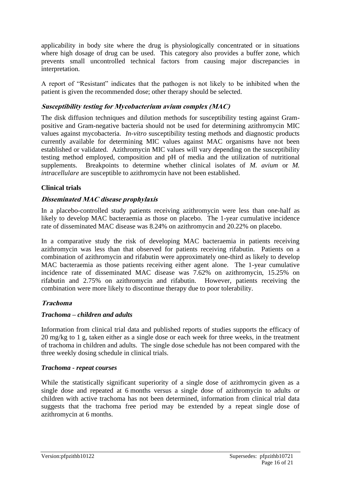applicability in body site where the drug is physiologically concentrated or in situations where high dosage of drug can be used. This category also provides a buffer zone, which prevents small uncontrolled technical factors from causing major discrepancies in interpretation.

A report of "Resistant" indicates that the pathogen is not likely to be inhibited when the patient is given the recommended dose; other therapy should be selected.

#### **Susceptibility testing for Mycobacterium avium complex (MAC)**

The disk diffusion techniques and dilution methods for susceptibility testing against Grampositive and Gram-negative bacteria should not be used for determining azithromycin MIC values against mycobacteria. *In-vitro* susceptibility testing methods and diagnostic products currently available for determining MIC values against MAC organisms have not been established or validated. Azithromycin MIC values will vary depending on the susceptibility testing method employed, composition and pH of media and the utilization of nutritional supplements. Breakpoints to determine whether clinical isolates of *M. avium* or *M. intracellulare* are susceptible to azithromycin have not been established.

#### **Clinical trials**

#### **Disseminated MAC disease prophylaxis**

In a placebo-controlled study patients receiving azithromycin were less than one-half as likely to develop MAC bacteraemia as those on placebo. The 1-year cumulative incidence rate of disseminated MAC disease was 8.24% on azithromycin and 20.22% on placebo.

In a comparative study the risk of developing MAC bacteraemia in patients receiving azithromycin was less than that observed for patients receiving rifabutin. Patients on a combination of azithromycin and rifabutin were approximately one-third as likely to develop MAC bacteraemia as those patients receiving either agent alone. The 1-year cumulative incidence rate of disseminated MAC disease was 7.62% on azithromycin, 15.25% on rifabutin and 2.75% on azithromycin and rifabutin. However, patients receiving the combination were more likely to discontinue therapy due to poor tolerability.

#### **Trachoma**

#### *Trachoma – children and adults*

Information from clinical trial data and published reports of studies supports the efficacy of 20 mg/kg to 1 g, taken either as a single dose or each week for three weeks, in the treatment of trachoma in children and adults. The single dose schedule has not been compared with the three weekly dosing schedule in clinical trials.

#### *Trachoma - repeat courses*

While the statistically significant superiority of a single dose of azithromycin given as a single dose and repeated at 6 months versus a single dose of azithromycin to adults or children with active trachoma has not been determined, information from clinical trial data suggests that the trachoma free period may be extended by a repeat single dose of azithromycin at 6 months.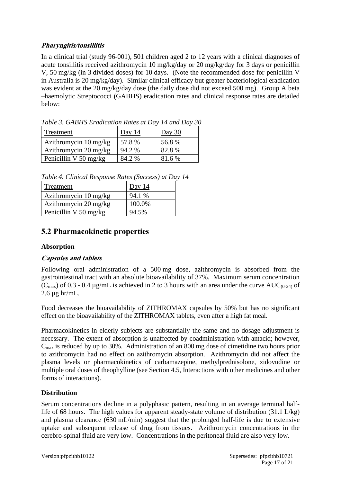### **Pharyngitis/tonsillitis**

In a clinical trial (study 96-001), 501 children aged 2 to 12 years with a clinical diagnoses of acute tonsillitis received azithromycin 10 mg/kg/day or 20 mg/kg/day for 3 days or penicillin V, 50 mg/kg (in 3 divided doses) for 10 days. (Note the recommended dose for penicillin V in Australia is 20 mg/kg/day). Similar clinical efficacy but greater bacteriological eradication was evident at the 20 mg/kg/day dose (the daily dose did not exceed 500 mg). Group A beta –haemolytic Streptococci (GABHS) eradication rates and clinical response rates are detailed below:

| Twore of SHBHS Brewledge Hallo as the B a finite B at 6 |          |        |
|---------------------------------------------------------|----------|--------|
| Treatment                                               | Day $14$ | Day 30 |
| Azithromycin $10 \text{ mg/kg}$                         | 57.8%    | 56.8%  |
| Azithromycin $20 \text{ mg/kg}$                         | 94.2 %   | 82.8%  |
| Penicillin V 50 mg/kg                                   | 84.2 %   | 81.6 % |

*Table 3. GABHS Eradication Rates at Day 14 and Day 30*

*Table 4. Clinical Response Rates (Success) at Day 14*

| Treatment             | Day $14$ |
|-----------------------|----------|
| Azithromycin 10 mg/kg | 94.1 %   |
| Azithromycin 20 mg/kg | 100.0%   |
| Penicillin V 50 mg/kg | 94.5%    |

# **5.2 Pharmacokinetic properties**

#### **Absorption**

### **Capsules and tablets**

Following oral administration of a 500 mg dose, azithromycin is absorbed from the gastrointestinal tract with an absolute bioavailability of 37%. Maximum serum concentration  $(C_{\text{max}})$  of 0.3 - 0.4 µg/mL is achieved in 2 to 3 hours with an area under the curve AUC<sub>(0-24)</sub> of  $2.6 \mu g$  hr/mL.

Food decreases the bioavailability of ZITHROMAX capsules by 50% but has no significant effect on the bioavailability of the ZITHROMAX tablets, even after a high fat meal.

Pharmacokinetics in elderly subjects are substantially the same and no dosage adjustment is necessary. The extent of absorption is unaffected by coadministration with antacid; however,  $C_{\text{max}}$  is reduced by up to 30%. Administration of an 800 mg dose of cimetidine two hours prior to azithromycin had no effect on azithromycin absorption. Azithromycin did not affect the plasma levels or pharmacokinetics of carbamazepine, methylprednisolone, zidovudine or multiple oral doses of theophylline (see Section 4.5, Interactions with other medicines and other forms of interactions).

#### **Distribution**

Serum concentrations decline in a polyphasic pattern, resulting in an average terminal halflife of 68 hours. The high values for apparent steady-state volume of distribution (31.1 L/kg) and plasma clearance (630 mL/min) suggest that the prolonged half-life is due to extensive uptake and subsequent release of drug from tissues. Azithromycin concentrations in the cerebro-spinal fluid are very low. Concentrations in the peritoneal fluid are also very low.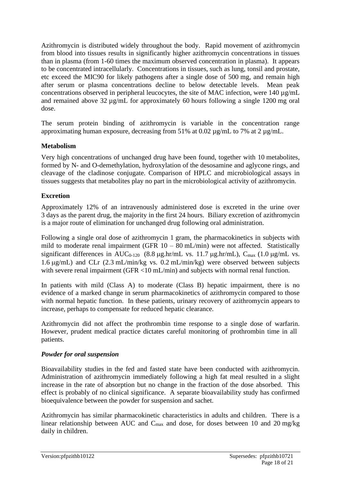Azithromycin is distributed widely throughout the body. Rapid movement of azithromycin from blood into tissues results in significantly higher azithromycin concentrations in tissues than in plasma (from 1-60 times the maximum observed concentration in plasma). It appears to be concentrated intracellularly. Concentrations in tissues, such as lung, tonsil and prostate, etc exceed the MIC90 for likely pathogens after a single dose of 500 mg, and remain high after serum or plasma concentrations decline to below detectable levels. Mean peak concentrations observed in peripheral leucocytes, the site of MAC infection, were  $140 \mu g/mL$ and remained above 32 µg/mL for approximately 60 hours following a single 1200 mg oral dose.

The serum protein binding of azithromycin is variable in the concentration range approximating human exposure, decreasing from 51% at 0.02 µg/mL to 7% at 2 µg/mL.

#### **Metabolism**

Very high concentrations of unchanged drug have been found, together with 10 metabolites, formed by N- and O-demethylation, hydroxylation of the desosamine and aglycone rings, and cleavage of the cladinose conjugate. Comparison of HPLC and microbiological assays in tissues suggests that metabolites play no part in the microbiological activity of azithromycin.

#### **Excretion**

Approximately 12% of an intravenously administered dose is excreted in the urine over 3 days as the parent drug, the majority in the first 24 hours. Biliary excretion of azithromycin is a major route of elimination for unchanged drug following oral administration.

Following a single oral dose of azithromycin 1 gram, the pharmacokinetics in subjects with mild to moderate renal impairment (GFR  $10 - 80$  mL/min) were not affected. Statistically significant differences in AUC<sub>0-120</sub> (8.8  $\mu$ g.hr/mL vs. 11.7  $\mu$ g.hr/mL), C<sub>max</sub> (1.0  $\mu$ g/mL vs. 1.6  $\mu$ g/mL) and CLr (2.3 mL/min/kg vs. 0.2 mL/min/kg) were observed between subjects with severe renal impairment (GFR <10 mL/min) and subjects with normal renal function.

In patients with mild (Class A) to moderate (Class B) hepatic impairment, there is no evidence of a marked change in serum pharmacokinetics of azithromycin compared to those with normal hepatic function. In these patients, urinary recovery of azithromycin appears to increase, perhaps to compensate for reduced hepatic clearance.

Azithromycin did not affect the prothrombin time response to a single dose of warfarin. However, prudent medical practice dictates careful monitoring of prothrombin time in all patients.

#### *Powder for oral suspension*

Bioavailability studies in the fed and fasted state have been conducted with azithromycin. Administration of azithromycin immediately following a high fat meal resulted in a slight increase in the rate of absorption but no change in the fraction of the dose absorbed. This effect is probably of no clinical significance. A separate bioavailability study has confirmed bioequivalence between the powder for suspension and sachet.

Azithromycin has similar pharmacokinetic characteristics in adults and children. There is a linear relationship between AUC and Cmax and dose, for doses between 10 and 20 mg/kg daily in children.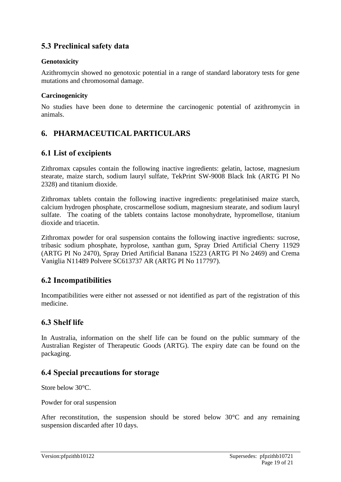# **5.3 Preclinical safety data**

#### **Genotoxicity**

Azithromycin showed no genotoxic potential in a range of standard laboratory tests for gene mutations and chromosomal damage.

#### **Carcinogenicity**

No studies have been done to determine the carcinogenic potential of azithromycin in animals.

# **6. PHARMACEUTICAL PARTICULARS**

# **6.1 List of excipients**

Zithromax capsules contain the following inactive ingredients: gelatin, lactose, magnesium stearate, maize starch, sodium lauryl sulfate, TekPrint SW-9008 Black Ink (ARTG PI No 2328) and titanium dioxide.

Zithromax tablets contain the following inactive ingredients: pregelatinised maize starch, calcium hydrogen phosphate, croscarmellose sodium, magnesium stearate, and sodium lauryl sulfate. The coating of the tablets contains lactose monohydrate, hypromellose, titanium dioxide and triacetin.

Zithromax powder for oral suspension contains the following inactive ingredients: sucrose, tribasic sodium phosphate, hyprolose, xanthan gum, Spray Dried Artificial Cherry 11929 (ARTG PI No 2470), Spray Dried Artificial Banana 15223 (ARTG PI No 2469) and Crema Vaniglia N11489 Polvere SC613737 AR (ARTG PI No 117797).

### **6.2 Incompatibilities**

Incompatibilities were either not assessed or not identified as part of the registration of this medicine.

### **6.3 Shelf life**

In Australia, information on the shelf life can be found on the public summary of the Australian Register of Therapeutic Goods (ARTG). The expiry date can be found on the packaging.

### **6.4 Special precautions for storage**

Store below 30°C.

Powder for oral suspension

After reconstitution, the suspension should be stored below 30°C and any remaining suspension discarded after 10 days.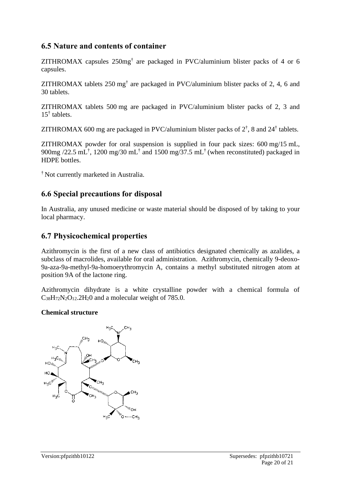# **6.5 Nature and contents of container**

ZITHROMAX capsules 250mg† are packaged in PVC/aluminium blister packs of 4 or 6 capsules.

ZITHROMAX tablets 250 mg<sup>†</sup> are packaged in PVC/aluminium blister packs of 2, 4, 6 and 30 tablets.

ZITHROMAX tablets 500 mg are packaged in PVC/aluminium blister packs of 2, 3 and 15† tablets.

ZITHROMAX 600 mg are packaged in PVC/aluminium blister packs of  $2^{\dagger}$ , 8 and  $24^{\dagger}$  tablets.

ZITHROMAX powder for oral suspension is supplied in four pack sizes: 600 mg/15 mL, 900mg /22.5 mL<sup>†</sup>, 1200 mg/30 mL<sup>†</sup> and 1500 mg/37.5 mL<sup>†</sup> (when reconstituted) packaged in HDPE bottles.

† Not currently marketed in Australia.

# **6.6 Special precautions for disposal**

In Australia, any unused medicine or waste material should be disposed of by taking to your local pharmacy.

# **6.7 Physicochemical properties**

Azithromycin is the first of a new class of antibiotics designated chemically as azalides, a subclass of macrolides, available for oral administration. Azithromycin, chemically 9-deoxo-9a-aza-9a-methyl-9a-homoerythromycin A, contains a methyl substituted nitrogen atom at position 9A of the lactone ring.

Azithromycin dihydrate is a white crystalline powder with a chemical formula of  $C_{38}H_{72}N_2O_{12}$ .  $2H_2O$  and a molecular weight of 785.0.

#### **Chemical structure**